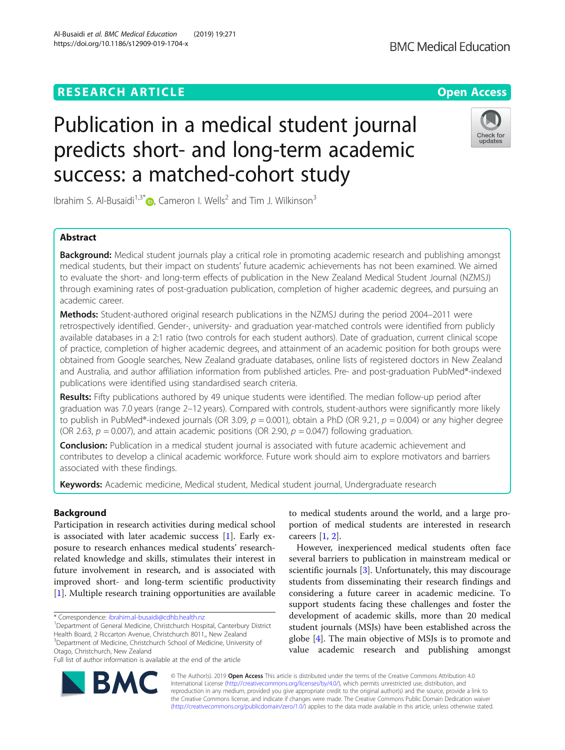## **RESEARCH ARTICLE Example 2018 12:30 The Contract of Contract Contract Open Access**

# Publication in a medical student journal predicts short- and long-term academic success: a matched-cohort study

Ibrahim S. Al-Busaidi<sup>1,3\*</sup>  $\bullet$ , Cameron I. Wells<sup>2</sup> and Tim J. Wilkinson<sup>3</sup>

## Abstract

Background: Medical student journals play a critical role in promoting academic research and publishing amongst medical students, but their impact on students' future academic achievements has not been examined. We aimed to evaluate the short- and long-term effects of publication in the New Zealand Medical Student Journal (NZMSJ) through examining rates of post-graduation publication, completion of higher academic degrees, and pursuing an academic career.

Methods: Student-authored original research publications in the NZMSJ during the period 2004–2011 were retrospectively identified. Gender-, university- and graduation year-matched controls were identified from publicly available databases in a 2:1 ratio (two controls for each student authors). Date of graduation, current clinical scope of practice, completion of higher academic degrees, and attainment of an academic position for both groups were obtained from Google searches, New Zealand graduate databases, online lists of registered doctors in New Zealand and Australia, and author affiliation information from published articles. Pre- and post-graduation PubMed®-indexed publications were identified using standardised search criteria.

Results: Fifty publications authored by 49 unique students were identified. The median follow-up period after graduation was 7.0 years (range 2–12 years). Compared with controls, student-authors were significantly more likely to publish in PubMed®-indexed journals (OR 3.09,  $p = 0.001$ ), obtain a PhD (OR 9.21,  $p = 0.004$ ) or any higher degree (OR 2.63,  $p = 0.007$ ), and attain academic positions (OR 2.90,  $p = 0.047$ ) following graduation.

Conclusion: Publication in a medical student journal is associated with future academic achievement and contributes to develop a clinical academic workforce. Future work should aim to explore motivators and barriers associated with these findings.

Keywords: Academic medicine, Medical student, Medical student journal, Undergraduate research

#### Background

Participation in research activities during medical school is associated with later academic success [[1\]](#page-5-0). Early exposure to research enhances medical students' researchrelated knowledge and skills, stimulates their interest in future involvement in research, and is associated with improved short- and long-term scientific productivity [[1\]](#page-5-0). Multiple research training opportunities are available

\* Correspondence: [ibrahim.al-busaidi@cdhb.health.nz](mailto:ibrahim.al-busaidi@cdhb.health.nz) <sup>1</sup>

<sup>1</sup>Department of General Medicine, Christchurch Hospital, Canterbury District Health Board, 2 Riccarton Avenue, Christchurch 8011,, New Zealand <sup>3</sup>Department of Medicine, Christchurch School of Medicine, University of Otago, Christchurch, New Zealand

Full list of author information is available at the end of the article

to medical students around the world, and a large proportion of medical students are interested in research careers [[1](#page-5-0), [2\]](#page-5-0).

However, inexperienced medical students often face several barriers to publication in mainstream medical or scientific journals [\[3](#page-5-0)]. Unfortunately, this may discourage students from disseminating their research findings and considering a future career in academic medicine. To support students facing these challenges and foster the development of academic skills, more than 20 medical student journals (MSJs) have been established across the globe [[4\]](#page-5-0). The main objective of MSJs is to promote and value academic research and publishing amongst

© The Author(s). 2019 **Open Access** This article is distributed under the terms of the Creative Commons Attribution 4.0 International License [\(http://creativecommons.org/licenses/by/4.0/](http://creativecommons.org/licenses/by/4.0/)), which permits unrestricted use, distribution, and reproduction in any medium, provided you give appropriate credit to the original author(s) and the source, provide a link to the Creative Commons license, and indicate if changes were made. The Creative Commons Public Domain Dedication waiver [\(http://creativecommons.org/publicdomain/zero/1.0/](http://creativecommons.org/publicdomain/zero/1.0/)) applies to the data made available in this article, unless otherwise stated.

**BM** 

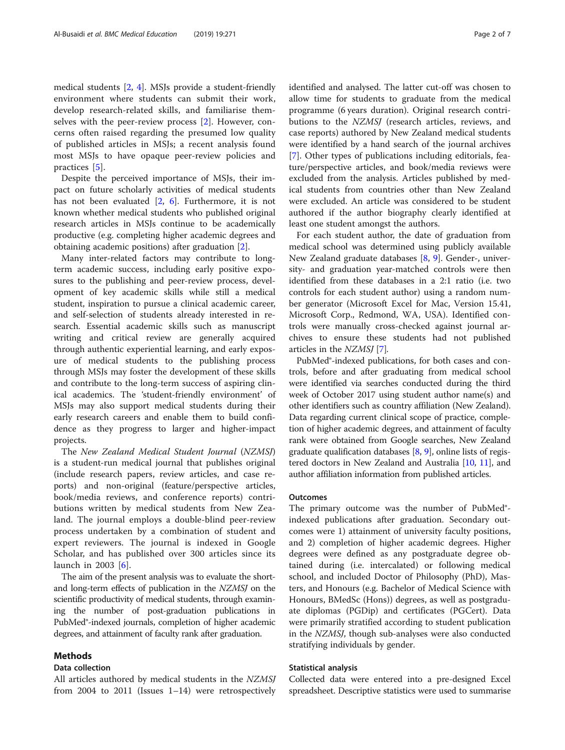medical students [\[2](#page-5-0), [4](#page-5-0)]. MSJs provide a student-friendly environment where students can submit their work, develop research-related skills, and familiarise themselves with the peer-review process [[2\]](#page-5-0). However, concerns often raised regarding the presumed low quality of published articles in MSJs; a recent analysis found most MSJs to have opaque peer-review policies and practices [[5\]](#page-5-0).

Despite the perceived importance of MSJs, their impact on future scholarly activities of medical students has not been evaluated  $[2, 6]$  $[2, 6]$  $[2, 6]$ . Furthermore, it is not known whether medical students who published original research articles in MSJs continue to be academically productive (e.g. completing higher academic degrees and obtaining academic positions) after graduation [\[2](#page-5-0)].

Many inter-related factors may contribute to longterm academic success, including early positive exposures to the publishing and peer-review process, development of key academic skills while still a medical student, inspiration to pursue a clinical academic career, and self-selection of students already interested in research. Essential academic skills such as manuscript writing and critical review are generally acquired through authentic experiential learning, and early exposure of medical students to the publishing process through MSJs may foster the development of these skills and contribute to the long-term success of aspiring clinical academics. The 'student-friendly environment' of MSJs may also support medical students during their early research careers and enable them to build confidence as they progress to larger and higher-impact projects.

The New Zealand Medical Student Journal (NZMSJ) is a student-run medical journal that publishes original (include research papers, review articles, and case reports) and non-original (feature/perspective articles, book/media reviews, and conference reports) contributions written by medical students from New Zealand. The journal employs a double-blind peer-review process undertaken by a combination of student and expert reviewers. The journal is indexed in Google Scholar, and has published over 300 articles since its launch in 2003 [[6\]](#page-5-0).

The aim of the present analysis was to evaluate the shortand long-term effects of publication in the NZMSJ on the scientific productivity of medical students, through examining the number of post-graduation publications in PubMed®-indexed journals, completion of higher academic degrees, and attainment of faculty rank after graduation.

#### Methods

#### Data collection

All articles authored by medical students in the NZMSJ from 2004 to 2011 (Issues  $1-14$ ) were retrospectively identified and analysed. The latter cut-off was chosen to allow time for students to graduate from the medical programme (6 years duration). Original research contributions to the NZMSJ (research articles, reviews, and case reports) authored by New Zealand medical students were identified by a hand search of the journal archives [[7\]](#page-5-0). Other types of publications including editorials, feature/perspective articles, and book/media reviews were excluded from the analysis. Articles published by medical students from countries other than New Zealand were excluded. An article was considered to be student authored if the author biography clearly identified at least one student amongst the authors.

For each student author, the date of graduation from medical school was determined using publicly available New Zealand graduate databases [\[8](#page-5-0), [9\]](#page-5-0). Gender-, university- and graduation year-matched controls were then identified from these databases in a 2:1 ratio (i.e. two controls for each student author) using a random number generator (Microsoft Excel for Mac, Version 15.41, Microsoft Corp., Redmond, WA, USA). Identified controls were manually cross-checked against journal archives to ensure these students had not published articles in the NZMSJ [[7\]](#page-5-0).

PubMed®-indexed publications, for both cases and controls, before and after graduating from medical school were identified via searches conducted during the third week of October 2017 using student author name(s) and other identifiers such as country affiliation (New Zealand). Data regarding current clinical scope of practice, completion of higher academic degrees, and attainment of faculty rank were obtained from Google searches, New Zealand graduate qualification databases  $[8, 9]$  $[8, 9]$  $[8, 9]$  $[8, 9]$  $[8, 9]$ , online lists of registered doctors in New Zealand and Australia [[10](#page-5-0), [11](#page-5-0)], and author affiliation information from published articles.

#### **Outcomes**

The primary outcome was the number of PubMed® indexed publications after graduation. Secondary outcomes were 1) attainment of university faculty positions, and 2) completion of higher academic degrees. Higher degrees were defined as any postgraduate degree obtained during (i.e. intercalated) or following medical school, and included Doctor of Philosophy (PhD), Masters, and Honours (e.g. Bachelor of Medical Science with Honours, BMedSc (Hons)) degrees, as well as postgraduate diplomas (PGDip) and certificates (PGCert). Data were primarily stratified according to student publication in the NZMSJ, though sub-analyses were also conducted stratifying individuals by gender.

#### Statistical analysis

Collected data were entered into a pre-designed Excel spreadsheet. Descriptive statistics were used to summarise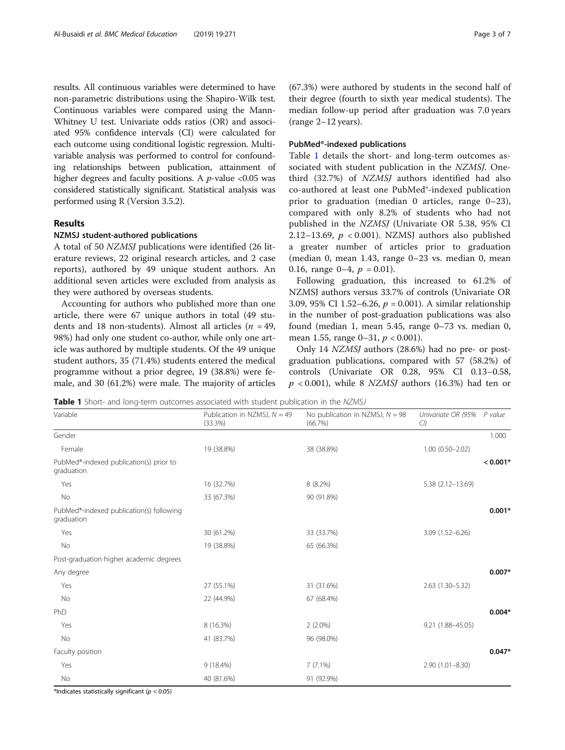results. All continuous variables were determined to have non-parametric distributions using the Shapiro-Wilk test. Continuous variables were compared using the Mann-Whitney U test. Univariate odds ratios (OR) and associated 95% confidence intervals (CI) were calculated for each outcome using conditional logistic regression. Multivariable analysis was performed to control for confounding relationships between publication, attainment of higher degrees and faculty positions. A  $p$ -value <0.05 was considered statistically significant. Statistical analysis was performed using R (Version 3.5.2).

#### Results

#### NZMSJ student-authored publications

A total of 50 NZMSJ publications were identified (26 literature reviews, 22 original research articles, and 2 case reports), authored by 49 unique student authors. An additional seven articles were excluded from analysis as they were authored by overseas students.

Accounting for authors who published more than one article, there were 67 unique authors in total (49 students and 18 non-students). Almost all articles ( $n = 49$ , 98%) had only one student co-author, while only one article was authored by multiple students. Of the 49 unique student authors, 35 (71.4%) students entered the medical programme without a prior degree, 19 (38.8%) were female, and 30 (61.2%) were male. The majority of articles (67.3%) were authored by students in the second half of their degree (fourth to sixth year medical students). The median follow-up period after graduation was 7.0 years (range 2–12 years).

#### PubMed®-indexed publications

Table 1 details the short- and long-term outcomes associated with student publication in the NZMSJ. Onethird (32.7%) of NZMSJ authors identified had also co-authored at least one PubMed®-indexed publication prior to graduation (median 0 articles, range 0–23), compared with only 8.2% of students who had not published in the NZMSJ (Univariate OR 5.38, 95% CI 2.12–13.69,  $p < 0.001$ ). NZMSJ authors also published a greater number of articles prior to graduation (median 0, mean 1.43, range 0–23 vs. median 0, mean 0.16, range 0–4,  $p = 0.01$ ).

Following graduation, this increased to 61.2% of NZMSJ authors versus 33.7% of controls (Univariate OR 3.09, 95% CI 1.52–6.26, p = 0.001). A similar relationship in the number of post-graduation publications was also found (median 1, mean 5.45, range 0–73 vs. median 0, mean 1.55, range  $0-31$ ,  $p < 0.001$ ).

Only 14 NZMSJ authors (28.6%) had no pre- or postgraduation publications, compared with 57 (58.2%) of controls (Univariate OR 0.28, 95% CI 0.13–0.58,  $p < 0.001$ ), while 8 NZMSJ authors (16.3%) had ten or

Table 1 Short- and long-term outcomes associated with student publication in the NZMSJ

| Publication in NZMSJ, $N = 49$<br>(33.3%) | No publication in NZMSJ, $N = 98$<br>(66.7%) | Univariate OR (95% P value<br>Cl) |            |  |
|-------------------------------------------|----------------------------------------------|-----------------------------------|------------|--|
|                                           |                                              |                                   | 1.000      |  |
| 19 (38.8%)                                | 38 (38.8%)                                   | $1.00(0.50 - 2.02)$               |            |  |
|                                           |                                              |                                   | $< 0.001*$ |  |
| 16 (32.7%)                                | 8 (8.2%)                                     | 5.38 (2.12-13.69)                 |            |  |
| 33 (67.3%)                                | 90 (91.8%)                                   |                                   |            |  |
|                                           |                                              |                                   | $0.001*$   |  |
| 30 (61.2%)                                | 33 (33.7%)                                   | $3.09(1.52 - 6.26)$               |            |  |
| 19 (38.8%)                                | 65 (66.3%)                                   |                                   |            |  |
|                                           |                                              |                                   |            |  |
|                                           |                                              |                                   | $0.007*$   |  |
| 27 (55.1%)                                | 31 (31.6%)                                   | 2.63 (1.30-5.32)                  |            |  |
| 22 (44.9%)                                | 67 (68.4%)                                   |                                   |            |  |
|                                           |                                              |                                   | $0.004*$   |  |
| 8 (16.3%)                                 | $2(2.0\%)$                                   | 9.21 (1.88-45.05)                 |            |  |
| 41 (83.7%)                                | 96 (98.0%)                                   |                                   |            |  |
|                                           |                                              |                                   | $0.047*$   |  |
| $9(18.4\%)$                               | $7(7.1\%)$                                   | $2.90(1.01 - 8.30)$               |            |  |
| 40 (81.6%)                                | 91 (92.9%)                                   |                                   |            |  |
|                                           |                                              |                                   |            |  |

\*Indicates statistically significant ( $p < 0.05$ )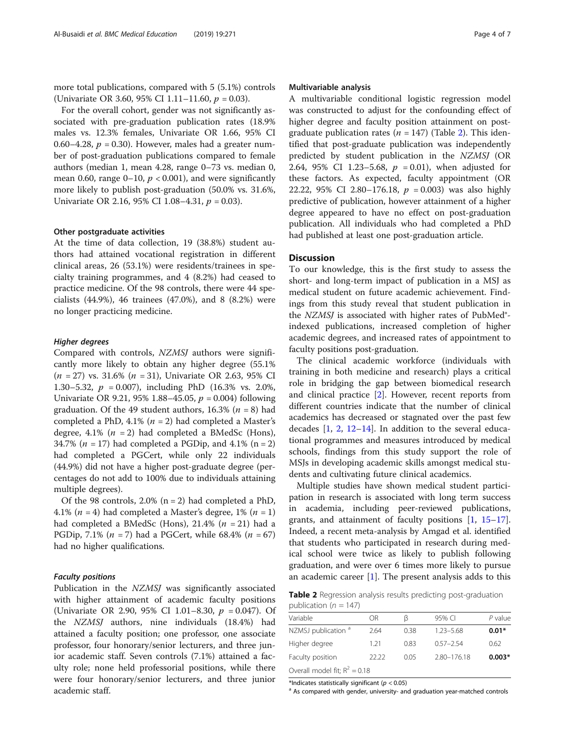more total publications, compared with 5 (5.1%) controls (Univariate OR 3.60, 95% CI 1.11–11.60,  $p = 0.03$ ).

For the overall cohort, gender was not significantly associated with pre-graduation publication rates (18.9% males vs. 12.3% females, Univariate OR 1.66, 95% CI 0.60–4.28,  $p = 0.30$ ). However, males had a greater number of post-graduation publications compared to female authors (median 1, mean 4.28, range 0–73 vs. median 0, mean 0.60, range  $0-10$ ,  $p < 0.001$ ), and were significantly more likely to publish post-graduation (50.0% vs. 31.6%, Univariate OR 2.16, 95% CI 1.08-4.31,  $p = 0.03$ ).

#### Other postgraduate activities

At the time of data collection, 19 (38.8%) student authors had attained vocational registration in different clinical areas, 26 (53.1%) were residents/trainees in specialty training programmes, and 4 (8.2%) had ceased to practice medicine. Of the 98 controls, there were 44 specialists (44.9%), 46 trainees (47.0%), and 8 (8.2%) were no longer practicing medicine.

#### Higher degrees

Compared with controls, NZMSJ authors were significantly more likely to obtain any higher degree (55.1%  $(n = 27)$  vs. 31.6%  $(n = 31)$ , Univariate OR 2.63, 95% CI 1.30–5.32,  $p = 0.007$ ), including PhD (16.3% vs. 2.0%, Univariate OR 9.21, 95% 1.88–45.05,  $p = 0.004$ ) following graduation. Of the 49 student authors, 16.3% ( $n = 8$ ) had completed a PhD, 4.1% ( $n = 2$ ) had completed a Master's degree, 4.1% ( $n = 2$ ) had completed a BMedSc (Hons), 34.7% ( $n = 17$ ) had completed a PGDip, and 4.1% ( $n = 2$ ) had completed a PGCert, while only 22 individuals (44.9%) did not have a higher post-graduate degree (percentages do not add to 100% due to individuals attaining multiple degrees).

Of the 98 controls,  $2.0\%$  (n = 2) had completed a PhD, 4.1% ( $n = 4$ ) had completed a Master's degree, 1% ( $n = 1$ ) had completed a BMedSc (Hons), 21.4%  $(n = 21)$  had a PGDip, 7.1% ( $n = 7$ ) had a PGCert, while 68.4% ( $n = 67$ ) had no higher qualifications.

#### Faculty positions

Publication in the *NZMSJ* was significantly associated with higher attainment of academic faculty positions (Univariate OR 2.90, 95% CI 1.01–8.30,  $p = 0.047$ ). Of the NZMSJ authors, nine individuals (18.4%) had attained a faculty position; one professor, one associate professor, four honorary/senior lecturers, and three junior academic staff. Seven controls (7.1%) attained a faculty role; none held professorial positions, while there were four honorary/senior lecturers, and three junior academic staff.

#### Multivariable analysis

A multivariable conditional logistic regression model was constructed to adjust for the confounding effect of higher degree and faculty position attainment on postgraduate publication rates ( $n = 147$ ) (Table 2). This identified that post-graduate publication was independently predicted by student publication in the NZMSJ (OR 2.64, 95% CI 1.23–5.68,  $p = 0.01$ ), when adjusted for these factors. As expected, faculty appointment (OR 22.22, 95% CI 2.80-176.18,  $p = 0.003$ ) was also highly predictive of publication, however attainment of a higher degree appeared to have no effect on post-graduation publication. All individuals who had completed a PhD had published at least one post-graduation article.

#### **Discussion**

To our knowledge, this is the first study to assess the short- and long-term impact of publication in a MSJ as medical student on future academic achievement. Findings from this study reveal that student publication in the NZMSJ is associated with higher rates of PubMed® indexed publications, increased completion of higher academic degrees, and increased rates of appointment to faculty positions post-graduation.

The clinical academic workforce (individuals with training in both medicine and research) plays a critical role in bridging the gap between biomedical research and clinical practice [[2\]](#page-5-0). However, recent reports from different countries indicate that the number of clinical academics has decreased or stagnated over the past few decades  $[1, 2, 12-14]$  $[1, 2, 12-14]$  $[1, 2, 12-14]$  $[1, 2, 12-14]$  $[1, 2, 12-14]$  $[1, 2, 12-14]$  $[1, 2, 12-14]$  $[1, 2, 12-14]$  $[1, 2, 12-14]$ . In addition to the several educational programmes and measures introduced by medical schools, findings from this study support the role of MSJs in developing academic skills amongst medical students and cultivating future clinical academics.

Multiple studies have shown medical student participation in research is associated with long term success in academia, including peer-reviewed publications, grants, and attainment of faculty positions [[1,](#page-5-0) [15](#page-5-0)–[17](#page-5-0)]. Indeed, a recent meta-analysis by Amgad et al. identified that students who participated in research during medical school were twice as likely to publish following graduation, and were over 6 times more likely to pursue an academic career  $[1]$  $[1]$ . The present analysis adds to this

Table 2 Regression analysis results predicting post-graduation publication ( $n = 147$ )

| Variable                        | OR    | ß    | 95% CI      | $P$ value |
|---------------------------------|-------|------|-------------|-----------|
| NZMSJ publication <sup>a</sup>  | 2.64  | 0.38 | 1.23-5.68   | $0.01*$   |
| Higher degree                   | 1.21  | 0.83 | $057 - 254$ | 0.62      |
| Faculty position                | 22.22 | 0.05 | 2.80-176.18 | $0.003*$  |
| Overall model fit; $R^2 = 0.18$ |       |      |             |           |

\*Indicates statistically significant ( $p < 0.05$ )<br><sup>a</sup> As compared with gender, university- and graduation year-matched controls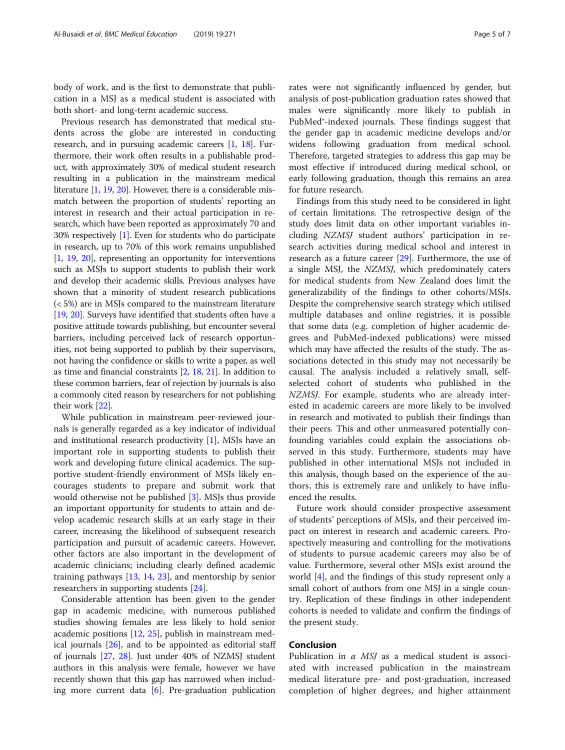body of work, and is the first to demonstrate that publication in a MSJ as a medical student is associated with both short- and long-term academic success.

Previous research has demonstrated that medical students across the globe are interested in conducting research, and in pursuing academic careers [\[1](#page-5-0), [18](#page-5-0)]. Furthermore, their work often results in a publishable product, with approximately 30% of medical student research resulting in a publication in the mainstream medical literature [\[1,](#page-5-0) [19](#page-5-0), [20\]](#page-5-0). However, there is a considerable mismatch between the proportion of students' reporting an interest in research and their actual participation in research, which have been reported as approximately 70 and 30% respectively [[1\]](#page-5-0). Even for students who do participate in research, up to 70% of this work remains unpublished [[1,](#page-5-0) [19](#page-5-0), [20\]](#page-5-0), representing an opportunity for interventions such as MSJs to support students to publish their work and develop their academic skills. Previous analyses have shown that a minority of student research publications (< 5%) are in MSJs compared to the mainstream literature [[19](#page-5-0), [20\]](#page-5-0). Surveys have identified that students often have a positive attitude towards publishing, but encounter several barriers, including perceived lack of research opportunities, not being supported to publish by their supervisors, not having the confidence or skills to write a paper, as well as time and financial constraints [[2,](#page-5-0) [18](#page-5-0), [21\]](#page-5-0). In addition to these common barriers, fear of rejection by journals is also a commonly cited reason by researchers for not publishing their work [[22\]](#page-5-0).

While publication in mainstream peer-reviewed journals is generally regarded as a key indicator of individual and institutional research productivity  $[1]$  $[1]$ , MSJs have an important role in supporting students to publish their work and developing future clinical academics. The supportive student-friendly environment of MSJs likely encourages students to prepare and submit work that would otherwise not be published [[3\]](#page-5-0). MSJs thus provide an important opportunity for students to attain and develop academic research skills at an early stage in their career, increasing the likelihood of subsequent research participation and pursuit of academic careers. However, other factors are also important in the development of academic clinicians; including clearly defined academic training pathways  $[13, 14, 23]$  $[13, 14, 23]$  $[13, 14, 23]$  $[13, 14, 23]$  $[13, 14, 23]$  $[13, 14, 23]$ , and mentorship by senior researchers in supporting students [[24\]](#page-5-0).

Considerable attention has been given to the gender gap in academic medicine, with numerous published studies showing females are less likely to hold senior academic positions [[12](#page-5-0), [25\]](#page-5-0), publish in mainstream medical journals [[26](#page-5-0)], and to be appointed as editorial staff of journals [[27,](#page-5-0) [28\]](#page-5-0). Just under 40% of NZMSJ student authors in this analysis were female, however we have recently shown that this gap has narrowed when including more current data [[6\]](#page-5-0). Pre-graduation publication rates were not significantly influenced by gender, but analysis of post-publication graduation rates showed that males were significantly more likely to publish in PubMed®-indexed journals. These findings suggest that the gender gap in academic medicine develops and/or widens following graduation from medical school. Therefore, targeted strategies to address this gap may be most effective if introduced during medical school, or early following graduation, though this remains an area for future research.

Findings from this study need to be considered in light of certain limitations. The retrospective design of the study does limit data on other important variables including NZMSJ student authors' participation in research activities during medical school and interest in research as a future career [\[29](#page-6-0)]. Furthermore, the use of a single MSJ, the NZMSJ, which predominately caters for medical students from New Zealand does limit the generalizability of the findings to other cohorts/MSJs. Despite the comprehensive search strategy which utilised multiple databases and online registries, it is possible that some data (e.g. completion of higher academic degrees and PubMed-indexed publications) were missed which may have affected the results of the study. The associations detected in this study may not necessarily be causal. The analysis included a relatively small, selfselected cohort of students who published in the NZMSJ. For example, students who are already interested in academic careers are more likely to be involved in research and motivated to publish their findings than their peers. This and other unmeasured potentially confounding variables could explain the associations observed in this study. Furthermore, students may have published in other international MSJs not included in this analysis, though based on the experience of the authors, this is extremely rare and unlikely to have influenced the results.

Future work should consider prospective assessment of students' perceptions of MSJs, and their perceived impact on interest in research and academic careers. Prospectively measuring and controlling for the motivations of students to pursue academic careers may also be of value. Furthermore, several other MSJs exist around the world [\[4](#page-5-0)], and the findings of this study represent only a small cohort of authors from one MSJ in a single country. Replication of these findings in other independent cohorts is needed to validate and confirm the findings of the present study.

#### Conclusion

Publication in  $a$  MSJ as a medical student is associated with increased publication in the mainstream medical literature pre- and post-graduation, increased completion of higher degrees, and higher attainment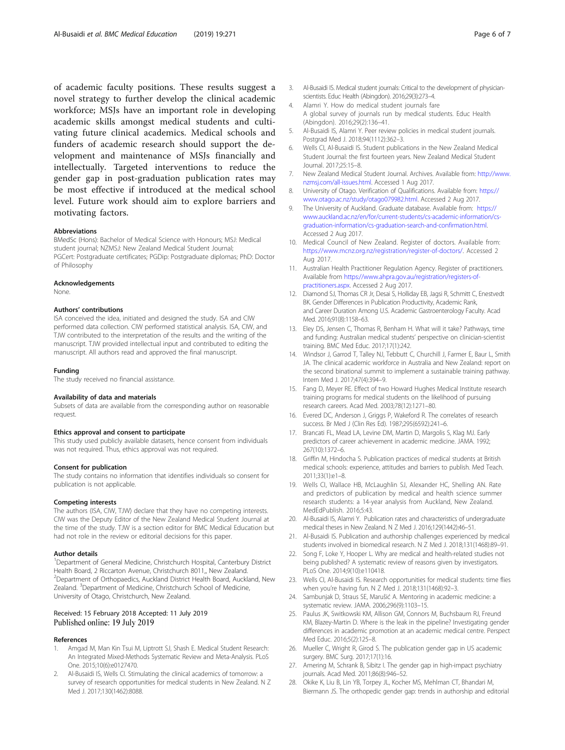<span id="page-5-0"></span>of academic faculty positions. These results suggest a novel strategy to further develop the clinical academic workforce; MSJs have an important role in developing academic skills amongst medical students and cultivating future clinical academics. Medical schools and funders of academic research should support the development and maintenance of MSJs financially and intellectually. Targeted interventions to reduce the gender gap in post-graduation publication rates may be most effective if introduced at the medical school level. Future work should aim to explore barriers and motivating factors.

#### Abbreviations

BMedSc (Hons): Bachelor of Medical Science with Honours; MSJ: Medical student journal; NZMSJ: New Zealand Medical Student Journal; PGCert: Postgraduate certificates; PGDip: Postgraduate diplomas; PhD: Doctor of Philosophy

#### Acknowledgements

None.

#### Authors' contributions

ISA conceived the idea, initiated and designed the study. ISA and CIW performed data collection. CIW performed statistical analysis. ISA, CIW, and TJW contributed to the interpretation of the results and the writing of the manuscript. TJW provided intellectual input and contributed to editing the manuscript. All authors read and approved the final manuscript.

#### Funding

The study received no financial assistance.

#### Availability of data and materials

Subsets of data are available from the corresponding author on reasonable request.

#### Ethics approval and consent to participate

This study used publicly available datasets, hence consent from individuals was not required. Thus, ethics approval was not required.

#### Consent for publication

The study contains no information that identifies individuals so consent for publication is not applicable.

#### Competing interests

The authors (ISA, CIW, TJW) declare that they have no competing interests. CIW was the Deputy Editor of the New Zealand Medical Student Journal at the time of the study. TJW is a section editor for BMC Medical Education but had not role in the review or editorial decisions for this paper.

#### Author details

<sup>1</sup>Department of General Medicine, Christchurch Hospital, Canterbury District Health Board, 2 Riccarton Avenue, Christchurch 8011,, New Zealand. <sup>2</sup>Department of Orthopaedics, Auckland District Health Board, Auckland, New Zealand. <sup>3</sup>Department of Medicine, Christchurch School of Medicine, University of Otago, Christchurch, New Zealand.

#### Received: 15 February 2018 Accepted: 11 July 2019 Published online: 19 July 2019

#### References

- Amgad M, Man Kin Tsui M, Liptrott SJ, Shash E. Medical Student Research: An Integrated Mixed-Methods Systematic Review and Meta-Analysis. PLoS One. 2015;10(6):e0127470.
- 2. Al-Busaidi IS, Wells CI. Stimulating the clinical academics of tomorrow: a survey of research opportunities for medical students in New Zealand. N Z Med J. 2017;130(1462):8088.
- 3. Al-Busaidi IS. Medical student journals: Critical to the development of physicianscientists. Educ Health (Abingdon). 2016;29(3):273–4.
- 4. Alamri Y. How do medical student journals fare A global survey of journals run by medical students. Educ Health (Abingdon). 2016;29(2):136–41.
- 5. Al-Busaidi IS, Alamri Y. Peer review policies in medical student journals. Postgrad Med J. 2018;94(1112):362–3.
- 6. Wells CI, Al-Busaidi IS. Student publications in the New Zealand Medical Student Journal: the first fourteen years. New Zealand Medical Student Journal. 2017;25:15–8.
- 7. New Zealand Medical Student Journal. Archives. Available from: [http://www.](http://www.nzmsj.com/all-issues.html) [nzmsj.com/all-issues.html.](http://www.nzmsj.com/all-issues.html) Accessed 1 Aug 2017.
- 8. University of Otago. Verification of Qualifications. Available from: [https://](https://www.otago.ac.nz/study/otago079982.html) [www.otago.ac.nz/study/otago079982.html](https://www.otago.ac.nz/study/otago079982.html). Accessed 2 Aug 2017.
- 9. The University of Auckland. Graduate database. Available from: [https://](https://www.auckland.ac.nz/en/for/current-students/cs-academic-information/cs-graduation-information/cs-graduation-search-and-confirmation.html) [www.auckland.ac.nz/en/for/current-students/cs-academic-information/cs](https://www.auckland.ac.nz/en/for/current-students/cs-academic-information/cs-graduation-information/cs-graduation-search-and-confirmation.html)[graduation-information/cs-graduation-search-and-confirmation.html](https://www.auckland.ac.nz/en/for/current-students/cs-academic-information/cs-graduation-information/cs-graduation-search-and-confirmation.html). Accessed 2 Aug 2017.
- 10. Medical Council of New Zealand. Register of doctors. Available from: [https://www.mcnz.org.nz/registration/register-of-doctors/.](https://www.mcnz.org.nz/registration/register-of-doctors/) Accessed 2 Aug 2017.
- 11. Australian Health Practitioner Regulation Agency. Register of practitioners. Available from [https://www.ahpra.gov.au/registration/registers-of](https://www.ahpra.gov.au/registration/registers-of-practitioners.aspx)[practitioners.aspx.](https://www.ahpra.gov.au/registration/registers-of-practitioners.aspx) Accessed 2 Aug 2017.
- 12. Diamond SJ, Thomas CR Jr, Desai S, Holliday EB, Jagsi R, Schmitt C, Enestvedt BK. Gender Differences in Publication Productivity, Academic Rank, and Career Duration Among U.S. Academic Gastroenterology Faculty. Acad Med. 2016;91(8):1158–63.
- 13. Eley DS, Jensen C, Thomas R, Benham H. What will it take? Pathways, time and funding: Australian medical students' perspective on clinician-scientist training. BMC Med Educ. 2017;17(1):242.
- 14. Windsor J, Garrod T, Talley NJ, Tebbutt C, Churchill J, Farmer E, Baur L, Smith JA. The clinical academic workforce in Australia and New Zealand: report on the second binational summit to implement a sustainable training pathway. Intern Med J. 2017;47(4):394–9.
- 15. Fang D, Meyer RE. Effect of two Howard Hughes Medical Institute research training programs for medical students on the likelihood of pursuing research careers. Acad Med. 2003;78(12):1271–80.
- 16. Evered DC, Anderson J, Griggs P, Wakeford R. The correlates of research success. Br Med J (Clin Res Ed). 1987;295(6592):241–6.
- 17. Brancati FL, Mead LA, Levine DM, Martin D, Margolis S, Klag MJ. Early predictors of career achievement in academic medicine. JAMA. 1992; 267(10):1372–6.
- 18. Griffin M, Hindocha S. Publication practices of medical students at British medical schools: experience, attitudes and barriers to publish. Med Teach. 2011;33(1):e1–8.
- 19. Wells CI, Wallace HB, McLaughlin SJ, Alexander HC, Shelling AN. Rate and predictors of publication by medical and health science summer research students: a 14-year analysis from Auckland, New Zealand. MedEdPublish. 2016;5:43.
- 20. Al-Busaidi IS, Alamri Y. Publication rates and characteristics of undergraduate medical theses in New Zealand. N Z Med J. 2016;129(1442):46–51.
- 21. Al-Busaidi IS. Publication and authorship challenges experienced by medical students involved in biomedical research. N Z Med J. 2018;131(1468):89–91.
- 22. Song F, Loke Y, Hooper L. Why are medical and health-related studies not being published? A systematic review of reasons given by investigators. PLoS One. 2014;9(10):e110418.
- 23. Wells CI, Al-Busaidi IS. Research opportunities for medical students: time flies when you're having fun. N Z Med J. 2018;131(1468):92–3.
- 24. Sambunjak D, Straus SE, Marušić A. Mentoring in academic medicine: a systematic review. JAMA. 2006;296(9):1103–15.
- 25. Paulus JK, Switkowski KM, Allison GM, Connors M, Buchsbaum RJ, Freund KM, Blazey-Martin D. Where is the leak in the pipeline? Investigating gender differences in academic promotion at an academic medical centre. Perspect Med Educ. 2016;5(2):125–8.
- 26. Mueller C, Wright R, Girod S. The publication gender gap in US academic surgery. BMC Surg. 2017;17(1):16.
- 27. Amering M, Schrank B, Sibitz I. The gender gap in high-impact psychiatry journals. Acad Med. 2011;86(8):946–52.
- 28. Okike K, Liu B, Lin YB, Torpey JL, Kocher MS, Mehlman CT, Bhandari M, Biermann JS. The orthopedic gender gap: trends in authorship and editorial